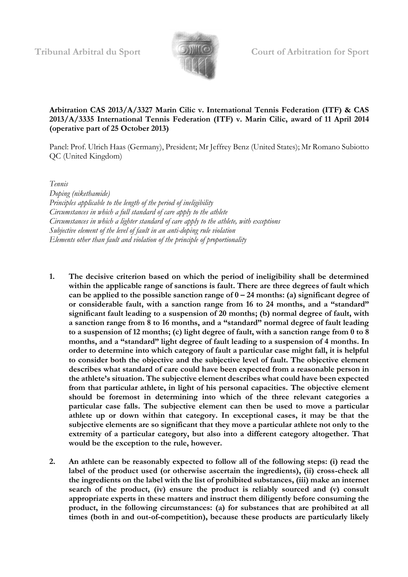

# **Arbitration CAS 2013/A/3327 Marin Cilic v. International Tennis Federation (ITF) & CAS 2013/A/3335 International Tennis Federation (ITF) v. Marin Cilic, award of 11 April 2014 (operative part of 25 October 2013)**

Panel: Prof. Ulrich Haas (Germany), President; Mr Jeffrey Benz (United States); Mr Romano Subiotto QC (United Kingdom)

*Tennis*

*Doping (nikethamide) Principles applicable to the length of the period of ineligibility Circumstances in which a full standard of care apply to the athlete Circumstances in which a lighter standard of care apply to the athlete, with exceptions Subjective element of the level of fault in an anti-doping rule violation Elements other than fault and violation of the principle of proportionality*

- **1. The decisive criterion based on which the period of ineligibility shall be determined within the applicable range of sanctions is fault. There are three degrees of fault which can be applied to the possible sanction range of 0 – 24 months: (a) significant degree of or considerable fault, with a sanction range from 16 to 24 months, and a "standard" significant fault leading to a suspension of 20 months; (b) normal degree of fault, with a sanction range from 8 to 16 months, and a "standard" normal degree of fault leading to a suspension of 12 months; (c) light degree of fault, with a sanction range from 0 to 8 months, and a "standard" light degree of fault leading to a suspension of 4 months. In order to determine into which category of fault a particular case might fall, it is helpful to consider both the objective and the subjective level of fault. The objective element describes what standard of care could have been expected from a reasonable person in the athlete's situation. The subjective element describes what could have been expected from that particular athlete, in light of his personal capacities. The objective element should be foremost in determining into which of the three relevant categories a particular case falls. The subjective element can then be used to move a particular athlete up or down within that category. In exceptional cases, it may be that the subjective elements are so significant that they move a particular athlete not only to the extremity of a particular category, but also into a different category altogether. That would be the exception to the rule, however.**
- **2. An athlete can be reasonably expected to follow all of the following steps: (i) read the label of the product used (or otherwise ascertain the ingredients), (ii) cross-check all the ingredients on the label with the list of prohibited substances, (iii) make an internet search of the product, (iv) ensure the product is reliably sourced and (v) consult appropriate experts in these matters and instruct them diligently before consuming the product, in the following circumstances: (a) for substances that are prohibited at all times (both in and out-of-competition), because these products are particularly likely**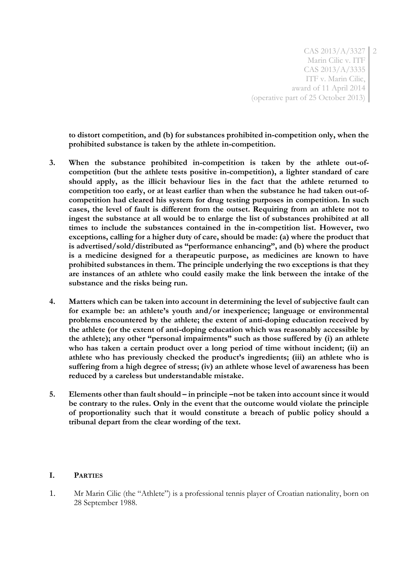**to distort competition, and (b) for substances prohibited in-competition only, when the prohibited substance is taken by the athlete in-competition.** 

- **3. When the substance prohibited in-competition is taken by the athlete out-ofcompetition (but the athlete tests positive in-competition), a lighter standard of care should apply, as the illicit behaviour lies in the fact that the athlete returned to competition too early, or at least earlier than when the substance he had taken out-ofcompetition had cleared his system for drug testing purposes in competition. In such cases, the level of fault is different from the outset. Requiring from an athlete not to ingest the substance at all would be to enlarge the list of substances prohibited at all times to include the substances contained in the in-competition list. However, two exceptions, calling for a higher duty of care, should be made: (a) where the product that is advertised/sold/distributed as "performance enhancing", and (b) where the product is a medicine designed for a therapeutic purpose, as medicines are known to have prohibited substances in them. The principle underlying the two exceptions is that they are instances of an athlete who could easily make the link between the intake of the substance and the risks being run.**
- **4. Matters which can be taken into account in determining the level of subjective fault can for example be: an athlete's youth and/or inexperience; language or environmental problems encountered by the athlete; the extent of anti-doping education received by the athlete (or the extent of anti-doping education which was reasonably accessible by the athlete); any other "personal impairments" such as those suffered by (i) an athlete who has taken a certain product over a long period of time without incident; (ii) an athlete who has previously checked the product's ingredients; (iii) an athlete who is suffering from a high degree of stress; (iv) an athlete whose level of awareness has been reduced by a careless but understandable mistake.**
- **5. Elements other than fault should – in principle –not be taken into account since it would be contrary to the rules. Only in the event that the outcome would violate the principle of proportionality such that it would constitute a breach of public policy should a tribunal depart from the clear wording of the text.**

#### **I. PARTIES**

1. Mr Marin Cilic (the "Athlete") is a professional tennis player of Croatian nationality, born on 28 September 1988.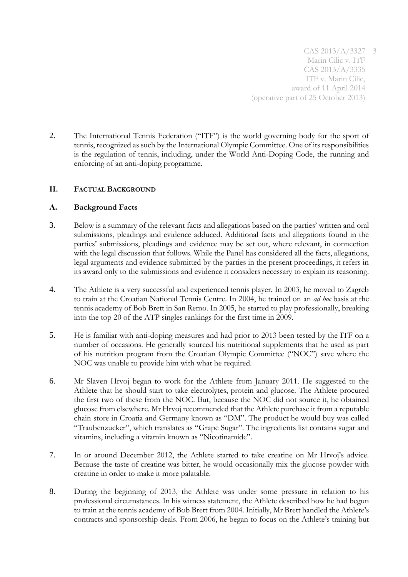2. The International Tennis Federation ("ITF") is the world governing body for the sport of tennis, recognized as such by the International Olympic Committee. One of its responsibilities is the regulation of tennis, including, under the World Anti-Doping Code, the running and enforcing of an anti-doping programme.

# **II. FACTUAL BACKGROUND**

# **A. Background Facts**

- 3. Below is a summary of the relevant facts and allegations based on the parties' written and oral submissions, pleadings and evidence adduced. Additional facts and allegations found in the parties' submissions, pleadings and evidence may be set out, where relevant, in connection with the legal discussion that follows. While the Panel has considered all the facts, allegations, legal arguments and evidence submitted by the parties in the present proceedings, it refers in its award only to the submissions and evidence it considers necessary to explain its reasoning.
- 4. The Athlete is a very successful and experienced tennis player. In 2003, he moved to Zagreb to train at the Croatian National Tennis Centre. In 2004, he trained on an *ad hoc* basis at the tennis academy of Bob Brett in San Remo. In 2005, he started to play professionally, breaking into the top 20 of the ATP singles rankings for the first time in 2009.
- 5. He is familiar with anti-doping measures and had prior to 2013 been tested by the ITF on a number of occasions. He generally sourced his nutritional supplements that he used as part of his nutrition program from the Croatian Olympic Committee ("NOC") save where the NOC was unable to provide him with what he required.
- 6. Mr Slaven Hrvoj began to work for the Athlete from January 2011. He suggested to the Athlete that he should start to take electrolytes, protein and glucose. The Athlete procured the first two of these from the NOC. But, because the NOC did not source it, he obtained glucose from elsewhere. Mr Hrvoj recommended that the Athlete purchase it from a reputable chain store in Croatia and Germany known as "DM". The product he would buy was called "Traubenzucker", which translates as "Grape Sugar". The ingredients list contains sugar and vitamins, including a vitamin known as "Nicotinamide".
- 7. In or around December 2012, the Athlete started to take creatine on Mr Hrvoj's advice. Because the taste of creatine was bitter, he would occasionally mix the glucose powder with creatine in order to make it more palatable.
- 8. During the beginning of 2013, the Athlete was under some pressure in relation to his professional circumstances. In his witness statement, the Athlete described how he had begun to train at the tennis academy of Bob Brett from 2004. Initially, Mr Brett handled the Athlete's contracts and sponsorship deals. From 2006, he began to focus on the Athlete's training but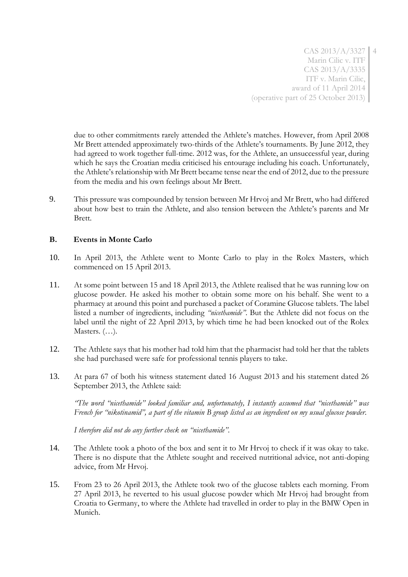due to other commitments rarely attended the Athlete's matches. However, from April 2008 Mr Brett attended approximately two-thirds of the Athlete's tournaments. By June 2012, they had agreed to work together full-time. 2012 was, for the Athlete, an unsuccessful year, during which he says the Croatian media criticised his entourage including his coach. Unfortunately, the Athlete's relationship with Mr Brett became tense near the end of 2012, due to the pressure from the media and his own feelings about Mr Brett.

9. This pressure was compounded by tension between Mr Hrvoj and Mr Brett, who had differed about how best to train the Athlete, and also tension between the Athlete's parents and Mr Brett.

## **B. Events in Monte Carlo**

- 10. In April 2013, the Athlete went to Monte Carlo to play in the Rolex Masters, which commenced on 15 April 2013.
- 11. At some point between 15 and 18 April 2013, the Athlete realised that he was running low on glucose powder. He asked his mother to obtain some more on his behalf. She went to a pharmacy at around this point and purchased a packet of Coramine Glucose tablets. The label listed a number of ingredients, including *"nicethamide"*. But the Athlete did not focus on the label until the night of 22 April 2013, by which time he had been knocked out of the Rolex Masters. (…).
- 12. The Athlete says that his mother had told him that the pharmacist had told her that the tablets she had purchased were safe for professional tennis players to take.
- 13. At para 67 of both his witness statement dated 16 August 2013 and his statement dated 26 September 2013, the Athlete said:

*"The word "nicethamide" looked familiar and, unfortunately, I instantly assumed that "nicethamide" was French for "nikotinamid", a part of the vitamin B group listed as an ingredient on my usual glucose powder.*

*I therefore did not do any further check on "nicethamide".*

- 14. The Athlete took a photo of the box and sent it to Mr Hrvoj to check if it was okay to take. There is no dispute that the Athlete sought and received nutritional advice, not anti-doping advice, from Mr Hrvoj.
- 15. From 23 to 26 April 2013, the Athlete took two of the glucose tablets each morning. From 27 April 2013, he reverted to his usual glucose powder which Mr Hrvoj had brought from Croatia to Germany, to where the Athlete had travelled in order to play in the BMW Open in Munich.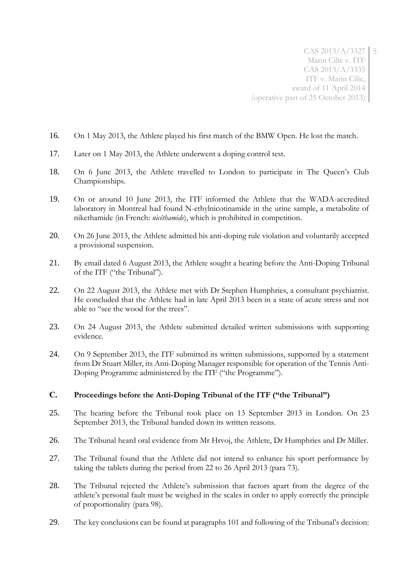- 16. On 1 May 2013, the Athlete played his first match of the BMW Open. He lost the match.
- 17. Later on 1 May 2013, the Athlete underwent a doping control test.
- 18. On 6 June 2013, the Athlete travelled to London to participate in The Queen's Club Championships.
- 19. On or around 10 June 2013, the ITF informed the Athlete that the WADA-accredited laboratory in Montreal had found N-ethylnicotinamide in the urine sample, a metabolite of nikethamide (in French: *nicéthamide*), which is prohibited in competition.
- 20. On 26 June 2013, the Athlete admitted his anti-doping rule violation and voluntarily accepted a provisional suspension.
- 21. By email dated 6 August 2013, the Athlete sought a hearing before the Anti-Doping Tribunal of the ITF ("the Tribunal").
- 22. On 22 August 2013, the Athlete met with Dr Stephen Humphries, a consultant psychiatrist. He concluded that the Athlete had in late April 2013 been in a state of acute stress and not able to "see the wood for the trees".
- 23. On 24 August 2013, the Athlete submitted detailed written submissions with supporting evidence.
- 24. On 9 September 2013, the ITF submitted its written submissions, supported by a statement from Dr Stuart Miller, its Anti-Doping Manager responsible for operation of the Tennis Anti-Doping Programme administered by the ITF ("the Programme").

## **C. Proceedings before the Anti-Doping Tribunal of the ITF ("the Tribunal")**

- 25. The hearing before the Tribunal took place on 13 September 2013 in London. On 23 September 2013, the Tribunal handed down its written reasons.
- 26. The Tribunal heard oral evidence from Mr Hrvoj, the Athlete, Dr Humphries and Dr Miller.
- 27. The Tribunal found that the Athlete did not intend to enhance his sport performance by taking the tablets during the period from 22 to 26 April 2013 (para 73).
- 28. The Tribunal rejected the Athlete's submission that factors apart from the degree of the athlete's personal fault must be weighed in the scales in order to apply correctly the principle of proportionality (para 98).
- 29. The key conclusions can be found at paragraphs 101 and following of the Tribunal's decision: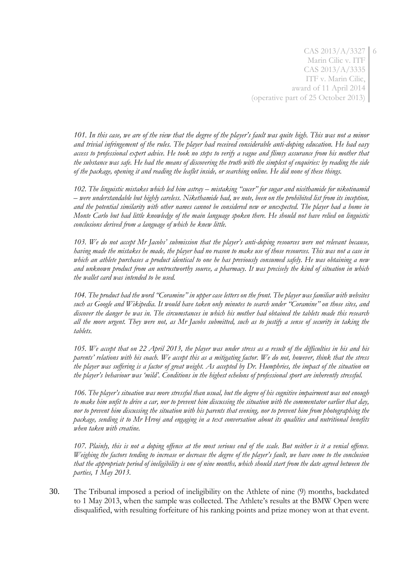*101. In this case, we are of the view that the degree of the player's fault was quite high. This was not a minor and trivial infringement of the rules. The player had received considerable anti-doping education. He had easy access to professional expert advice. He took no steps to verify a vague and flimsy assurance from his mother that the substance was safe. He had the means of discovering the truth with the simplest of enquiries: by reading the side of the package, opening it and reading the leaflet inside, or searching online. He did none of these things.* 

*102. The linguistic mistakes which led him astray – mistaking "sucer" for sugar and nicéthamide for nikotinamid – were understandable but highly careless. Nikethamide had, we note, been on the prohibited list from its inception, and the potential similarity with other names cannot be considered new or unexpected. The player had a home in Monte Carlo but had little knowledge of the main language spoken there. He should not have relied on linguistic conclusions derived from a language of which he knew little.* 

*103. We do not accept Mr Jacobs' submission that the player's anti-doping resources were not relevant because, having made the mistakes he made, the player had no reason to make use of those resources. This was not a case in which an athlete purchases a product identical to one he has previously consumed safely. He was obtaining a new and unknown product from an untrustworthy source, a pharmacy. It was precisely the kind of situation in which the wallet card was intended to be used.* 

*104. The product had the word "Coramine" in upper case letters on the front. The player was familiar with websites such as Google and Wikipedia. It would have taken only minutes to search under "Coramine" on those sites, and discover the danger he was in. The circumstances in which his mother had obtained the tablets made this research all the more urgent. They were not, as Mr Jacobs submitted, such as to justify a sense of security in taking the tablets.* 

*105. We accept that on 22 April 2013, the player was under stress as a result of the difficulties in his and his parents' relations with his coach. We accept this as a mitigating factor. We do not, however, think that the stress the player was suffering is a factor of great weight. As accepted by Dr. Humphries, the impact of the situation on the player's behaviour was 'mild'. Conditions in the highest echelons of professional sport are inherently stressful.* 

*106. The player's situation was more stressful than usual, but the degree of his cognitive impairment was not enough to make him unfit to drive a car, nor to prevent him discussing the situation with the commentator earlier that day, nor to prevent him discussing the situation with his parents that evening, nor to prevent him from photographing the package, sending it to Mr Hrvoj and engaging in a text conversation about its qualities and nutritional benefits when taken with creatine.* 

*107. Plainly, this is not a doping offence at the most serious end of the scale. But neither is it a venial offence. Weighing the factors tending to increase or decrease the degree of the player's fault, we have come to the conclusion that the appropriate period of ineligibility is one of nine months, which should start from the date agreed between the parties, 1 May 2013.* 

30. The Tribunal imposed a period of ineligibility on the Athlete of nine (9) months, backdated to 1 May 2013, when the sample was collected. The Athlete's results at the BMW Open were disqualified, with resulting forfeiture of his ranking points and prize money won at that event.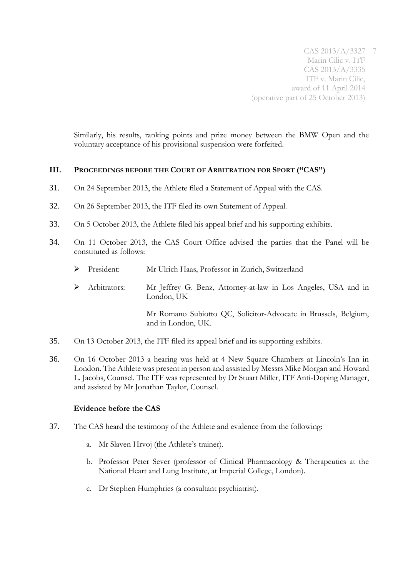Similarly, his results, ranking points and prize money between the BMW Open and the voluntary acceptance of his provisional suspension were forfeited.

## **III. PROCEEDINGS BEFORE THE COURT OF ARBITRATION FOR SPORT ("CAS")**

- 31. On 24 September 2013, the Athlete filed a Statement of Appeal with the CAS.
- 32. On 26 September 2013, the ITF filed its own Statement of Appeal.
- 33. On 5 October 2013, the Athlete filed his appeal brief and his supporting exhibits.
- 34. On 11 October 2013, the CAS Court Office advised the parties that the Panel will be constituted as follows:
	- President: Mr Ulrich Haas, Professor in Zurich, Switzerland
	- Arbitrators: Mr Jeffrey G. Benz, Attorney-at-law in Los Angeles, USA and in London, UK

Mr Romano Subiotto QC, Solicitor-Advocate in Brussels, Belgium, and in London, UK.

- 35. On 13 October 2013, the ITF filed its appeal brief and its supporting exhibits.
- 36. On 16 October 2013 a hearing was held at 4 New Square Chambers at Lincoln's Inn in London. The Athlete was present in person and assisted by Messrs Mike Morgan and Howard L. Jacobs, Counsel. The ITF was represented by Dr Stuart Miller, ITF Anti-Doping Manager, and assisted by Mr Jonathan Taylor, Counsel.

## **Evidence before the CAS**

- 37. The CAS heard the testimony of the Athlete and evidence from the following:
	- a. Mr Slaven Hrvoj (the Athlete's trainer).
	- b. Professor Peter Sever (professor of Clinical Pharmacology & Therapeutics at the National Heart and Lung Institute, at Imperial College, London).
	- c. Dr Stephen Humphries (a consultant psychiatrist).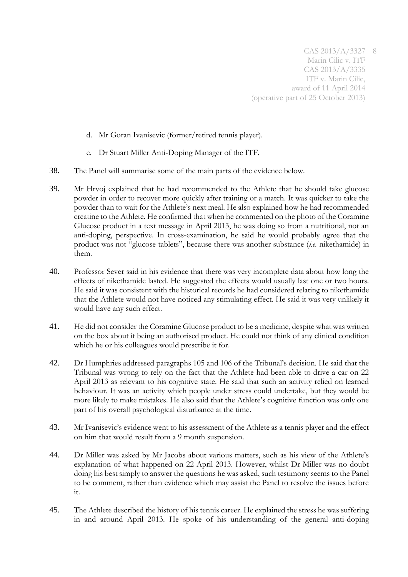- d. Mr Goran Ivanisevic (former/retired tennis player).
- e. Dr Stuart Miller Anti-Doping Manager of the ITF.
- 38. The Panel will summarise some of the main parts of the evidence below.
- 39. Mr Hrvoj explained that he had recommended to the Athlete that he should take glucose powder in order to recover more quickly after training or a match. It was quicker to take the powder than to wait for the Athlete's next meal. He also explained how he had recommended creatine to the Athlete. He confirmed that when he commented on the photo of the Coramine Glucose product in a text message in April 2013, he was doing so from a nutritional, not an anti-doping, perspective. In cross-examination, he said he would probably agree that the product was not "glucose tablets", because there was another substance (*i.e.* nikethamide) in them.
- 40. Professor Sever said in his evidence that there was very incomplete data about how long the effects of nikethamide lasted. He suggested the effects would usually last one or two hours. He said it was consistent with the historical records he had considered relating to nikethamide that the Athlete would not have noticed any stimulating effect. He said it was very unlikely it would have any such effect.
- 41. He did not consider the Coramine Glucose product to be a medicine, despite what was written on the box about it being an authorised product. He could not think of any clinical condition which he or his colleagues would prescribe it for.
- 42. Dr Humphries addressed paragraphs 105 and 106 of the Tribunal's decision. He said that the Tribunal was wrong to rely on the fact that the Athlete had been able to drive a car on 22 April 2013 as relevant to his cognitive state. He said that such an activity relied on learned behaviour. It was an activity which people under stress could undertake, but they would be more likely to make mistakes. He also said that the Athlete's cognitive function was only one part of his overall psychological disturbance at the time.
- 43. Mr Ivanisevic's evidence went to his assessment of the Athlete as a tennis player and the effect on him that would result from a 9 month suspension.
- 44. Dr Miller was asked by Mr Jacobs about various matters, such as his view of the Athlete's explanation of what happened on 22 April 2013. However, whilst Dr Miller was no doubt doing his best simply to answer the questions he was asked, such testimony seems to the Panel to be comment, rather than evidence which may assist the Panel to resolve the issues before it.
- 45. The Athlete described the history of his tennis career. He explained the stress he was suffering in and around April 2013. He spoke of his understanding of the general anti-doping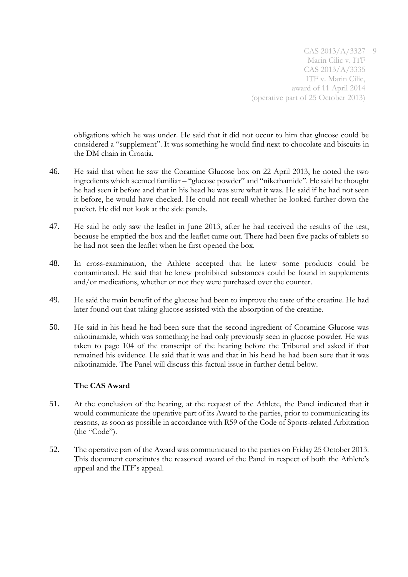obligations which he was under. He said that it did not occur to him that glucose could be considered a "supplement". It was something he would find next to chocolate and biscuits in the DM chain in Croatia.

- 46. He said that when he saw the Coramine Glucose box on 22 April 2013, he noted the two ingredients which seemed familiar – "glucose powder" and "nikethamide". He said he thought he had seen it before and that in his head he was sure what it was. He said if he had not seen it before, he would have checked. He could not recall whether he looked further down the packet. He did not look at the side panels.
- 47. He said he only saw the leaflet in June 2013, after he had received the results of the test, because he emptied the box and the leaflet came out. There had been five packs of tablets so he had not seen the leaflet when he first opened the box.
- 48. In cross-examination, the Athlete accepted that he knew some products could be contaminated. He said that he knew prohibited substances could be found in supplements and/or medications, whether or not they were purchased over the counter.
- 49. He said the main benefit of the glucose had been to improve the taste of the creatine. He had later found out that taking glucose assisted with the absorption of the creatine.
- 50. He said in his head he had been sure that the second ingredient of Coramine Glucose was nikotinamide, which was something he had only previously seen in glucose powder. He was taken to page 104 of the transcript of the hearing before the Tribunal and asked if that remained his evidence. He said that it was and that in his head he had been sure that it was nikotinamide. The Panel will discuss this factual issue in further detail below.

## **The CAS Award**

- 51. At the conclusion of the hearing, at the request of the Athlete, the Panel indicated that it would communicate the operative part of its Award to the parties, prior to communicating its reasons, as soon as possible in accordance with R59 of the Code of Sports-related Arbitration (the "Code").
- 52. The operative part of the Award was communicated to the parties on Friday 25 October 2013. This document constitutes the reasoned award of the Panel in respect of both the Athlete's appeal and the ITF's appeal.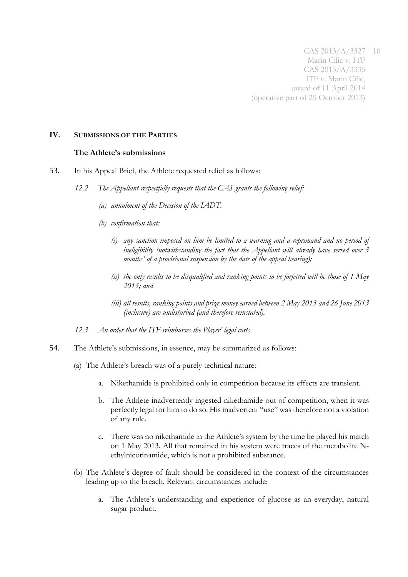#### **IV. SUBMISSIONS OF THE PARTIES**

#### **The Athlete's submissions**

- 53. In his Appeal Brief, the Athlete requested relief as follows:
	- *12.2 The Appellant respectfully requests that the CAS grants the following relief:*
		- *(a) annulment of the Decision of the IADT.*
		- *(b) confirmation that:*
			- *(i) any sanction imposed on him be limited to a warning and a reprimand and no period of ineligibility (notwithstanding the fact that the Appellant will already have served over 3 months' of a provisional suspension by the date of the appeal hearing);*
			- *(ii) the only results to be disqualified and ranking points to be forfeited will be those of 1 May 2013; and*
			- *(iii) all results, ranking points and prize money earned between 2 May 2013 and 26 June 2013 (inclusive) are undisturbed (and therefore reinstated).*
	- *12.3 An order that the ITF reimburses the Player' legal costs*
- 54. The Athlete's submissions, in essence, may be summarized as follows:
	- (a) The Athlete's breach was of a purely technical nature:
		- a. Nikethamide is prohibited only in competition because its effects are transient.
		- b. The Athlete inadvertently ingested nikethamide out of competition, when it was perfectly legal for him to do so. His inadvertent "use" was therefore not a violation of any rule.
		- c. There was no nikethamide in the Athlete's system by the time he played his match on 1 May 2013. All that remained in his system were traces of the metabolite Nethylnicotinamide, which is not a prohibited substance.
	- (b) The Athlete's degree of fault should be considered in the context of the circumstances leading up to the breach. Relevant circumstances include:
		- a. The Athlete's understanding and experience of glucose as an everyday, natural sugar product.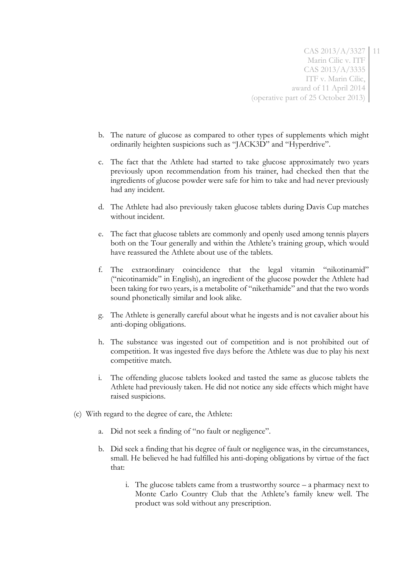- b. The nature of glucose as compared to other types of supplements which might ordinarily heighten suspicions such as "JACK3D" and "Hyperdrive".
- c. The fact that the Athlete had started to take glucose approximately two years previously upon recommendation from his trainer, had checked then that the ingredients of glucose powder were safe for him to take and had never previously had any incident.
- d. The Athlete had also previously taken glucose tablets during Davis Cup matches without incident.
- e. The fact that glucose tablets are commonly and openly used among tennis players both on the Tour generally and within the Athlete's training group, which would have reassured the Athlete about use of the tablets.
- f. The extraordinary coincidence that the legal vitamin "nikotinamid" ("nicotinamide" in English), an ingredient of the glucose powder the Athlete had been taking for two years, is a metabolite of "nikethamide" and that the two words sound phonetically similar and look alike.
- g. The Athlete is generally careful about what he ingests and is not cavalier about his anti-doping obligations.
- h. The substance was ingested out of competition and is not prohibited out of competition. It was ingested five days before the Athlete was due to play his next competitive match.
- i. The offending glucose tablets looked and tasted the same as glucose tablets the Athlete had previously taken. He did not notice any side effects which might have raised suspicions.
- (c) With regard to the degree of care, the Athlete:
	- a. Did not seek a finding of "no fault or negligence".
	- b. Did seek a finding that his degree of fault or negligence was, in the circumstances, small. He believed he had fulfilled his anti-doping obligations by virtue of the fact that:
		- i. The glucose tablets came from a trustworthy source a pharmacy next to Monte Carlo Country Club that the Athlete's family knew well. The product was sold without any prescription.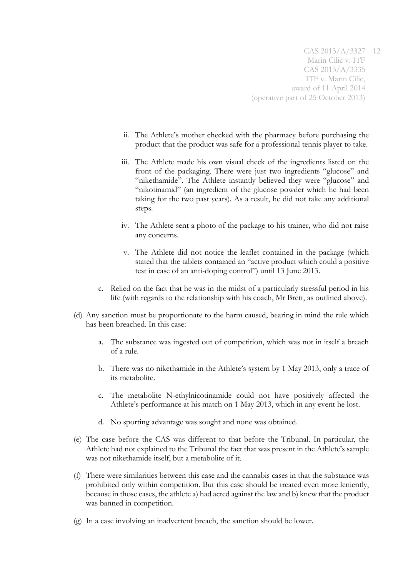- ii. The Athlete's mother checked with the pharmacy before purchasing the product that the product was safe for a professional tennis player to take.
- iii. The Athlete made his own visual check of the ingredients listed on the front of the packaging. There were just two ingredients "glucose" and "nikethamide". The Athlete instantly believed they were "glucose" and "nikotinamid" (an ingredient of the glucose powder which he had been taking for the two past years). As a result, he did not take any additional steps.
- iv. The Athlete sent a photo of the package to his trainer, who did not raise any concerns.
- v. The Athlete did not notice the leaflet contained in the package (which stated that the tablets contained an "active product which could a positive test in case of an anti-doping control") until 13 June 2013.
- c. Relied on the fact that he was in the midst of a particularly stressful period in his life (with regards to the relationship with his coach, Mr Brett, as outlined above).
- (d) Any sanction must be proportionate to the harm caused, bearing in mind the rule which has been breached. In this case:
	- a. The substance was ingested out of competition, which was not in itself a breach of a rule.
	- b. There was no nikethamide in the Athlete's system by 1 May 2013, only a trace of its metabolite.
	- c. The metabolite N-ethylnicotinamide could not have positively affected the Athlete's performance at his match on 1 May 2013, which in any event he lost.
	- d. No sporting advantage was sought and none was obtained.
- (e) The case before the CAS was different to that before the Tribunal. In particular, the Athlete had not explained to the Tribunal the fact that was present in the Athlete's sample was not nikethamide itself, but a metabolite of it.
- (f) There were similarities between this case and the cannabis cases in that the substance was prohibited only within competition. But this case should be treated even more leniently, because in those cases, the athlete a) had acted against the law and b) knew that the product was banned in competition.
- (g) In a case involving an inadvertent breach, the sanction should be lower.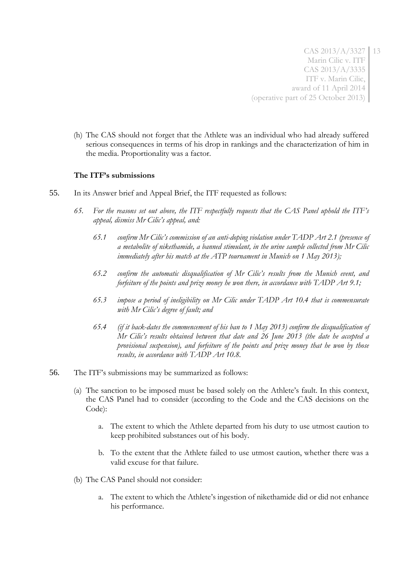(h) The CAS should not forget that the Athlete was an individual who had already suffered serious consequences in terms of his drop in rankings and the characterization of him in the media. Proportionality was a factor.

## **The ITF's submissions**

- 55. In its Answer brief and Appeal Brief, the ITF requested as follows:
	- *65. For the reasons set out above, the ITF respectfully requests that the CAS Panel uphold the ITF's appeal, dismiss Mr Cilic's appeal, and:*
		- *65.1 confirm Mr Cilic's commission of an anti-doping violation under TADP Art 2.1 (presence of a metabolite of nikethamide, a banned stimulant, in the urine sample collected from Mr Cilic immediately after his match at the ATP tournament in Munich on 1 May 2013);*
		- *65.2 confirm the automatic disqualification of Mr Cilic's results from the Munich event, and forfeiture of the points and prize money he won there, in accordance with TADP Art 9.1;*
		- *65.3 impose a period of ineligibility on Mr Cilic under TADP Art 10.4 that is commensurate with Mr Cilic's degree of fault; and*
		- *65.4 (if it back-dates the commencement of his ban to 1 May 2013) confirm the disqualification of Mr Cilic's results obtained between that date and 26 June 2013 (the date he accepted a provisional suspension), and forfeiture of the points and prize money that he won by those results, in accordance with TADP Art 10.8.*
- 56. The ITF's submissions may be summarized as follows:
	- (a) The sanction to be imposed must be based solely on the Athlete's fault. In this context, the CAS Panel had to consider (according to the Code and the CAS decisions on the Code):
		- a. The extent to which the Athlete departed from his duty to use utmost caution to keep prohibited substances out of his body.
		- b. To the extent that the Athlete failed to use utmost caution, whether there was a valid excuse for that failure.
	- (b) The CAS Panel should not consider:
		- a. The extent to which the Athlete's ingestion of nikethamide did or did not enhance his performance.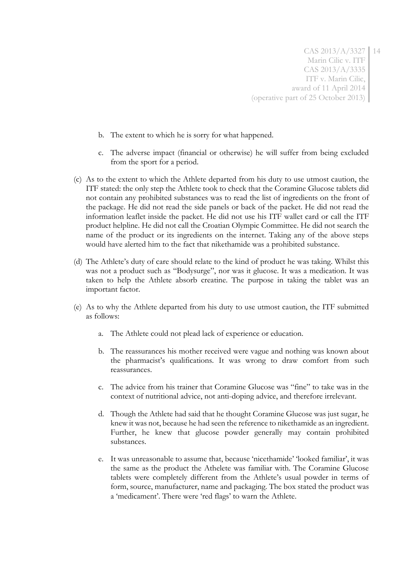- b. The extent to which he is sorry for what happened.
- c. The adverse impact (financial or otherwise) he will suffer from being excluded from the sport for a period.
- (c) As to the extent to which the Athlete departed from his duty to use utmost caution, the ITF stated: the only step the Athlete took to check that the Coramine Glucose tablets did not contain any prohibited substances was to read the list of ingredients on the front of the package. He did not read the side panels or back of the packet. He did not read the information leaflet inside the packet. He did not use his ITF wallet card or call the ITF product helpline. He did not call the Croatian Olympic Committee. He did not search the name of the product or its ingredients on the internet. Taking any of the above steps would have alerted him to the fact that nikethamide was a prohibited substance.
- (d) The Athlete's duty of care should relate to the kind of product he was taking. Whilst this was not a product such as "Bodysurge", nor was it glucose. It was a medication. It was taken to help the Athlete absorb creatine. The purpose in taking the tablet was an important factor.
- (e) As to why the Athlete departed from his duty to use utmost caution, the ITF submitted as follows:
	- a. The Athlete could not plead lack of experience or education.
	- b. The reassurances his mother received were vague and nothing was known about the pharmacist's qualifications. It was wrong to draw comfort from such reassurances.
	- c. The advice from his trainer that Coramine Glucose was "fine" to take was in the context of nutritional advice, not anti-doping advice, and therefore irrelevant.
	- d. Though the Athlete had said that he thought Coramine Glucose was just sugar, he knew it was not, because he had seen the reference to nikethamide as an ingredient. Further, he knew that glucose powder generally may contain prohibited substances.
	- e. It was unreasonable to assume that, because 'nicethamide' 'looked familiar', it was the same as the product the Athelete was familiar with. The Coramine Glucose tablets were completely different from the Athlete's usual powder in terms of form, source, manufacturer, name and packaging. The box stated the product was a 'medicament'. There were 'red flags' to warn the Athlete.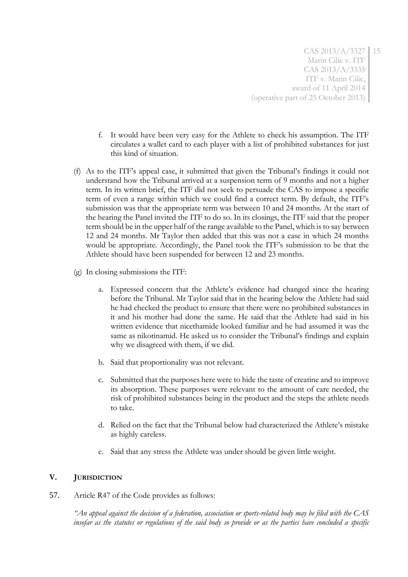- f. It would have been very easy for the Athlete to check his assumption. The ITF circulates a wallet card to each player with a list of prohibited substances for just this kind of situation.
- (f) As to the ITF's appeal case, it submitted that given the Tribunal's findings it could not understand how the Tribunal arrived at a suspension term of 9 months and not a higher term. In its written brief, the ITF did not seek to persuade the CAS to impose a specific term of even a range within which we could find a correct term. By default, the ITF's submission was that the appropriate term was between 10 and 24 months. At the start of the hearing the Panel invited the ITF to do so. In its closings, the ITF said that the proper term should be in the upper half of the range available to the Panel, which is to say between 12 and 24 months. Mr Taylor then added that this was not a case in which 24 months would be appropriate. Accordingly, the Panel took the ITF's submission to be that the Athlete should have been suspended for between 12 and 23 months.
- (g) In closing submissions the ITF:
	- a. Expressed concern that the Athlete's evidence had changed since the hearing before the Tribunal. Mr Taylor said that in the hearing below the Athlete had said he had checked the product to ensure that there were no prohibited substances in it and his mother had done the same. He said that the Athlete had said in his written evidence that nicethamide looked familiar and he had assumed it was the same as nikotinamid. He asked us to consider the Tribunal's findings and explain why we disagreed with them, if we did.
	- b. Said that proportionality was not relevant.
	- c. Submitted that the purposes here were to hide the taste of creatine and to improve its absorption. These purposes were relevant to the amount of care needed, the risk of prohibited substances being in the product and the steps the athlete needs to take.
	- d. Relied on the fact that the Tribunal below had characterized the Athlete's mistake as highly careless.
	- e. Said that any stress the Athlete was under should be given little weight.

## **V. JURISDICTION**

57. Article R47 of the Code provides as follows:

*"An appeal against the decision of a federation, association or sports-related body may be filed with the CAS insofar as the statutes or regulations of the said body so provide or as the parties have concluded a specific*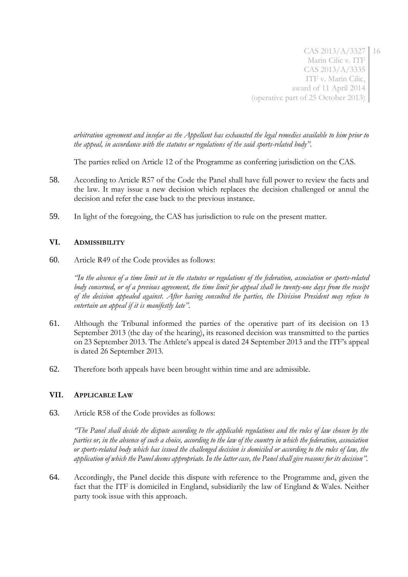*arbitration agreement and insofar as the Appellant has exhausted the legal remedies available to him prior to the appeal, in accordance with the statutes or regulations of the said sports-related body"*.

The parties relied on Article 12 of the Programme as conferring jurisdiction on the CAS.

- 58. According to Article R57 of the Code the Panel shall have full power to review the facts and the law. It may issue a new decision which replaces the decision challenged or annul the decision and refer the case back to the previous instance.
- 59. In light of the foregoing, the CAS has jurisdiction to rule on the present matter.

## **VI. ADMISSIBILITY**

60. Article R49 of the Code provides as follows:

*"In the absence of a time limit set in the statutes or regulations of the federation, association or sports-related*  body concerned, or of a previous agreement, the time limit for appeal shall be twenty-one days from the receipt *of the decision appealed against. After having consulted the parties, the Division President may refuse to entertain an appeal if it is manifestly late".*

- 61. Although the Tribunal informed the parties of the operative part of its decision on 13 September 2013 (the day of the hearing), its reasoned decision was transmitted to the parties on 23 September 2013. The Athlete's appeal is dated 24 September 2013 and the ITF's appeal is dated 26 September 2013.
- 62. Therefore both appeals have been brought within time and are admissible.

## **VII. APPLICABLE LAW**

63. Article R58 of the Code provides as follows:

*"The Panel shall decide the dispute according to the applicable regulations and the rules of law chosen by the parties or, in the absence of such a choice, according to the law of the country in which the federation, association or sports-related body which has issued the challenged decision is domiciled or according to the rules of law, the application of which the Panel deems appropriate. In the latter case, the Panel shall give reasons for its decision".*

64. Accordingly, the Panel decide this dispute with reference to the Programme and, given the fact that the ITF is domiciled in England, subsidiarily the law of England & Wales. Neither party took issue with this approach.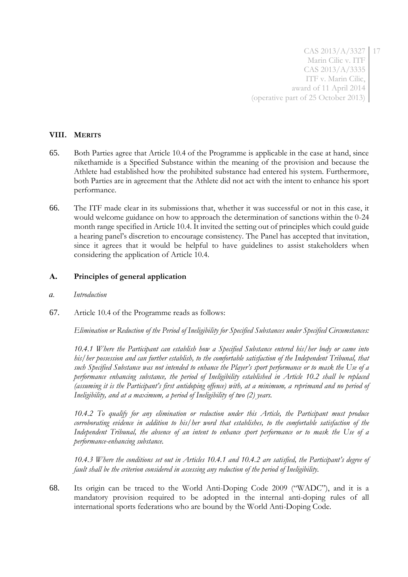# **VIII. MERITS**

- 65. Both Parties agree that Article 10.4 of the Programme is applicable in the case at hand, since nikethamide is a Specified Substance within the meaning of the provision and because the Athlete had established how the prohibited substance had entered his system. Furthermore, both Parties are in agreement that the Athlete did not act with the intent to enhance his sport performance.
- 66. The ITF made clear in its submissions that, whether it was successful or not in this case, it would welcome guidance on how to approach the determination of sanctions within the 0-24 month range specified in Article 10.4. It invited the setting out of principles which could guide a hearing panel's discretion to encourage consistency. The Panel has accepted that invitation, since it agrees that it would be helpful to have guidelines to assist stakeholders when considering the application of Article 10.4.

## **A. Principles of general application**

- *a. Introduction*
- 67. Article 10.4 of the Programme reads as follows:

*Elimination or Reduction of the Period of Ineligibility for Specified Substances under Specified Circumstances:*

*10.4.1 Where the Participant can establish how a Specified Substance entered his/her body or came into his/her possession and can further establish, to the comfortable satisfaction of the Independent Tribunal, that such Specified Substance was not intended to enhance the Player's sport performance or to mask the Use of a performance enhancing substance, the period of Ineligibility established in Article 10.2 shall be replaced (assuming it is the Participant's first antidoping offence) with, at a minimum, a reprimand and no period of Ineligibility, and at a maximum, a period of Ineligibility of two (2) years.*

*10.4.2 To qualify for any elimination or reduction under this Article, the Participant must produce corroborating evidence in addition to his/her word that establishes, to the comfortable satisfaction of the Independent Tribunal, the absence of an intent to enhance sport performance or to mask the Use of a performance-enhancing substance.*

*10.4.3 Where the conditions set out in Articles 10.4.1 and 10.4.2 are satisfied, the Participant's degree of fault shall be the criterion considered in assessing any reduction of the period of Ineligibility.*

68. Its origin can be traced to the World Anti-Doping Code 2009 ("WADC"), and it is a mandatory provision required to be adopted in the internal anti-doping rules of all international sports federations who are bound by the World Anti-Doping Code.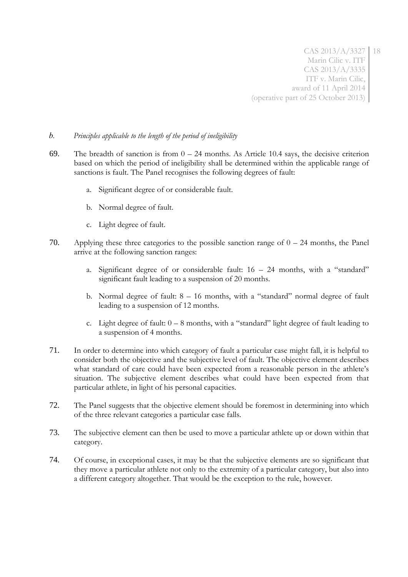## *b. Principles applicable to the length of the period of ineligibility*

- 69. The breadth of sanction is from  $0 24$  months. As Article 10.4 says, the decisive criterion based on which the period of ineligibility shall be determined within the applicable range of sanctions is fault. The Panel recognises the following degrees of fault:
	- a. Significant degree of or considerable fault.
	- b. Normal degree of fault.
	- c. Light degree of fault.
- 70. Applying these three categories to the possible sanction range of  $0 24$  months, the Panel arrive at the following sanction ranges:
	- a. Significant degree of or considerable fault: 16 24 months, with a "standard" significant fault leading to a suspension of 20 months.
	- b. Normal degree of fault: 8 16 months, with a "standard" normal degree of fault leading to a suspension of 12 months.
	- c. Light degree of fault:  $0 8$  months, with a "standard" light degree of fault leading to a suspension of 4 months.
- 71. In order to determine into which category of fault a particular case might fall, it is helpful to consider both the objective and the subjective level of fault. The objective element describes what standard of care could have been expected from a reasonable person in the athlete's situation. The subjective element describes what could have been expected from that particular athlete, in light of his personal capacities.
- 72. The Panel suggests that the objective element should be foremost in determining into which of the three relevant categories a particular case falls.
- 73. The subjective element can then be used to move a particular athlete up or down within that category.
- 74. Of course, in exceptional cases, it may be that the subjective elements are so significant that they move a particular athlete not only to the extremity of a particular category, but also into a different category altogether. That would be the exception to the rule, however.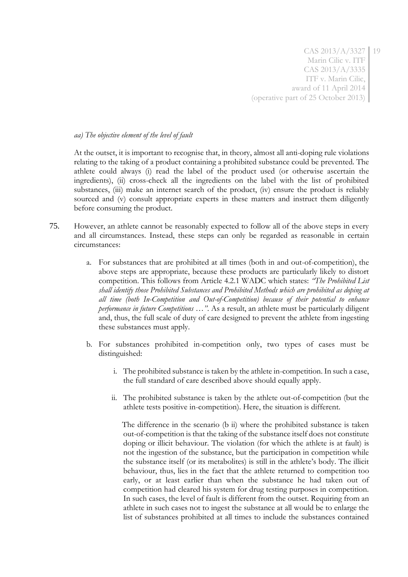#### *aa) The objective element of the level of fault*

At the outset, it is important to recognise that, in theory, almost all anti-doping rule violations relating to the taking of a product containing a prohibited substance could be prevented. The athlete could always (i) read the label of the product used (or otherwise ascertain the ingredients), (ii) cross-check all the ingredients on the label with the list of prohibited substances, (iii) make an internet search of the product, (iv) ensure the product is reliably sourced and (v) consult appropriate experts in these matters and instruct them diligently before consuming the product.

- 75. However, an athlete cannot be reasonably expected to follow all of the above steps in every and all circumstances. Instead, these steps can only be regarded as reasonable in certain circumstances:
	- a. For substances that are prohibited at all times (both in and out-of-competition), the above steps are appropriate, because these products are particularly likely to distort competition. This follows from Article 4.2.1 WADC which states: *"The Prohibited List shall identify those Prohibited Substances and Prohibited Methods which are prohibited as doping at all time (both In-Competition and Out-of-Competition) because of their potential to enhance performance in future Competitions …"*. As a result, an athlete must be particularly diligent and, thus, the full scale of duty of care designed to prevent the athlete from ingesting these substances must apply.
	- b. For substances prohibited in-competition only, two types of cases must be distinguished:
		- i. The prohibited substance is taken by the athlete in-competition. In such a case, the full standard of care described above should equally apply.
		- ii. The prohibited substance is taken by the athlete out-of-competition (but the athlete tests positive in-competition). Here, the situation is different.

The difference in the scenario (b ii) where the prohibited substance is taken out-of-competition is that the taking of the substance itself does not constitute doping or illicit behaviour. The violation (for which the athlete is at fault) is not the ingestion of the substance, but the participation in competition while the substance itself (or its metabolites) is still in the athlete's body. The illicit behaviour, thus, lies in the fact that the athlete returned to competition too early, or at least earlier than when the substance he had taken out of competition had cleared his system for drug testing purposes in competition. In such cases, the level of fault is different from the outset. Requiring from an athlete in such cases not to ingest the substance at all would be to enlarge the list of substances prohibited at all times to include the substances contained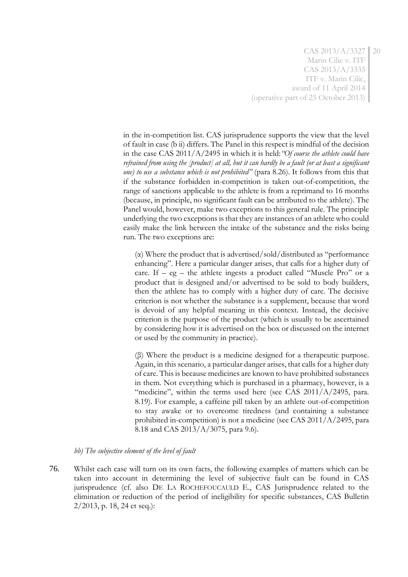in the in-competition list. CAS jurisprudence supports the view that the level of fault in case (b ii) differs. The Panel in this respect is mindful of the decision in the case CAS 2011/A/2495 in which it is held:*"Of course the athlete could have refrained from using the [product] at all, but it can hardly be a fault (or at least a significant one) to use a substance which is not prohibited"* (para 8.26). It follows from this that if the substance forbidden in-competition is taken out-of-competition, the range of sanctions applicable to the athlete is from a reprimand to 16 months (because, in principle, no significant fault can be attributed to the athlete). The Panel would, however, make two exceptions to this general rule. The principle underlying the two exceptions is that they are instances of an athlete who could easily make the link between the intake of the substance and the risks being run. The two exceptions are:

(α) Where the product that is advertised/sold/distributed as "performance enhancing". Here a particular danger arises, that calls for a higher duty of care. If  $-$  eg  $-$  the athlete ingests a product called "Muscle Pro" or a product that is designed and/or advertised to be sold to body builders, then the athlete has to comply with a higher duty of care. The decisive criterion is not whether the substance is a supplement, because that word is devoid of any helpful meaning in this context. Instead, the decisive criterion is the purpose of the product (which is usually to be ascertained by considering how it is advertised on the box or discussed on the internet or used by the community in practice).

(β) Where the product is a medicine designed for a therapeutic purpose. Again, in this scenario, a particular danger arises, that calls for a higher duty of care. This is because medicines are known to have prohibited substances in them. Not everything which is purchased in a pharmacy, however, is a "medicine", within the terms used here (see CAS 2011/A/2495, para. 8.19). For example, a caffeine pill taken by an athlete out-of-competition to stay awake or to overcome tiredness (and containing a substance prohibited in-competition) is not a medicine (see CAS 2011/A/2495, para 8.18 and CAS 2013/A/3075, para 9.6).

*bb) The subjective element of the level of fault*

76. Whilst each case will turn on its own facts, the following examples of matters which can be taken into account in determining the level of subjective fault can be found in CAS jurisprudence (cf. also DE LA ROCHEFOUCAULD E., CAS Jurisprudence related to the elimination or reduction of the period of ineligibility for specific substances, CAS Bulletin 2/2013, p. 18, 24 et seq.):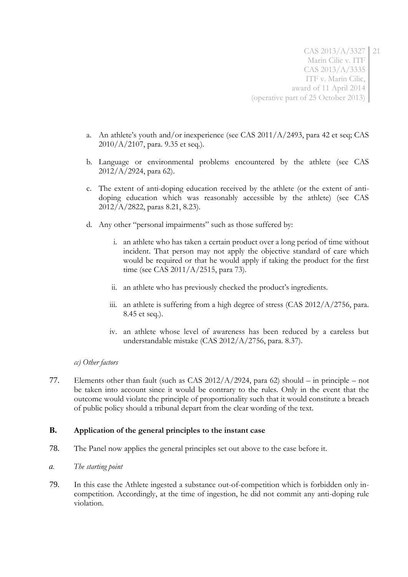- a. An athlete's youth and/or inexperience (see CAS 2011/A/2493, para 42 et seq; CAS 2010/A/2107, para. 9.35 et seq.).
- b. Language or environmental problems encountered by the athlete (see CAS 2012/A/2924, para 62).
- c. The extent of anti-doping education received by the athlete (or the extent of antidoping education which was reasonably accessible by the athlete) (see CAS 2012/A/2822, paras 8.21, 8.23).
- d. Any other "personal impairments" such as those suffered by:
	- i. an athlete who has taken a certain product over a long period of time without incident. That person may not apply the objective standard of care which would be required or that he would apply if taking the product for the first time (see CAS 2011/A/2515, para 73).
	- ii. an athlete who has previously checked the product's ingredients.
	- iii. an athlete is suffering from a high degree of stress (CAS 2012/A/2756, para. 8.45 et seq.).
	- iv. an athlete whose level of awareness has been reduced by a careless but understandable mistake (CAS 2012/A/2756, para. 8.37).

## *cc) Other factors*

77. Elements other than fault (such as CAS 2012/A/2924, para 62) should – in principle – not be taken into account since it would be contrary to the rules. Only in the event that the outcome would violate the principle of proportionality such that it would constitute a breach of public policy should a tribunal depart from the clear wording of the text.

## **B. Application of the general principles to the instant case**

- 78. The Panel now applies the general principles set out above to the case before it.
- *a. The starting point*
- 79. In this case the Athlete ingested a substance out-of-competition which is forbidden only incompetition. Accordingly, at the time of ingestion, he did not commit any anti-doping rule violation.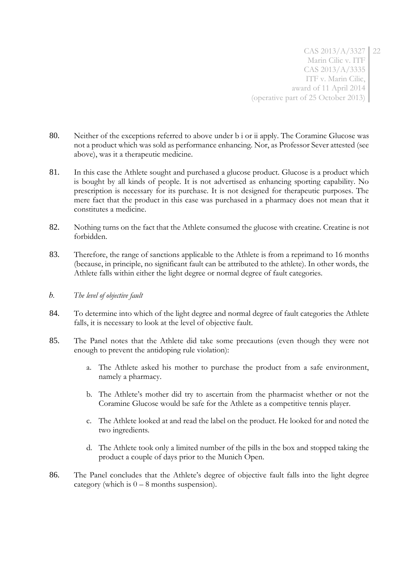- 80. Neither of the exceptions referred to above under b i or ii apply. The Coramine Glucose was not a product which was sold as performance enhancing. Nor, as Professor Sever attested (see above), was it a therapeutic medicine.
- 81. In this case the Athlete sought and purchased a glucose product. Glucose is a product which is bought by all kinds of people. It is not advertised as enhancing sporting capability. No prescription is necessary for its purchase. It is not designed for therapeutic purposes. The mere fact that the product in this case was purchased in a pharmacy does not mean that it constitutes a medicine.
- 82. Nothing turns on the fact that the Athlete consumed the glucose with creatine. Creatine is not forbidden.
- 83. Therefore, the range of sanctions applicable to the Athlete is from a reprimand to 16 months (because, in principle, no significant fault can be attributed to the athlete). In other words, the Athlete falls within either the light degree or normal degree of fault categories.
- *b. The level of objective fault*
- 84. To determine into which of the light degree and normal degree of fault categories the Athlete falls, it is necessary to look at the level of objective fault.
- 85. The Panel notes that the Athlete did take some precautions (even though they were not enough to prevent the antidoping rule violation):
	- a. The Athlete asked his mother to purchase the product from a safe environment, namely a pharmacy.
	- b. The Athlete's mother did try to ascertain from the pharmacist whether or not the Coramine Glucose would be safe for the Athlete as a competitive tennis player.
	- c. The Athlete looked at and read the label on the product. He looked for and noted the two ingredients.
	- d. The Athlete took only a limited number of the pills in the box and stopped taking the product a couple of days prior to the Munich Open.
- 86. The Panel concludes that the Athlete's degree of objective fault falls into the light degree category (which is  $0 - 8$  months suspension).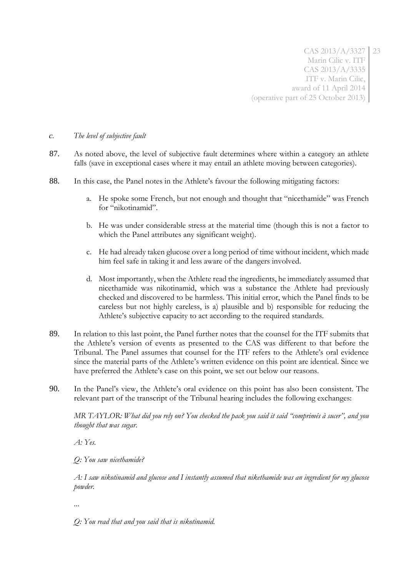#### *c. The level of subjective fault*

- 87. As noted above, the level of subjective fault determines where within a category an athlete falls (save in exceptional cases where it may entail an athlete moving between categories).
- 88. In this case, the Panel notes in the Athlete's favour the following mitigating factors:
	- a. He spoke some French, but not enough and thought that "nicethamide" was French for "nikotinamid".
	- b. He was under considerable stress at the material time (though this is not a factor to which the Panel attributes any significant weight).
	- c. He had already taken glucose over a long period of time without incident, which made him feel safe in taking it and less aware of the dangers involved.
	- d. Most importantly, when the Athlete read the ingredients, he immediately assumed that nicethamide was nikotinamid, which was a substance the Athlete had previously checked and discovered to be harmless. This initial error, which the Panel finds to be careless but not highly careless, is a) plausible and b) responsible for reducing the Athlete's subjective capacity to act according to the required standards.
- 89. In relation to this last point, the Panel further notes that the counsel for the ITF submits that the Athlete's version of events as presented to the CAS was different to that before the Tribunal. The Panel assumes that counsel for the ITF refers to the Athlete's oral evidence since the material parts of the Athlete's written evidence on this point are identical. Since we have preferred the Athlete's case on this point, we set out below our reasons.
- 90. In the Panel's view, the Athlete's oral evidence on this point has also been consistent. The relevant part of the transcript of the Tribunal hearing includes the following exchanges:

*MR TAYLOR: What did you rely on? You checked the pack you said it said "comprimés à sucer", and you thought that was sugar.*

*A: Yes.*

*Q: You saw nicethamide?*

*A: I saw nikotinamid and glucose and I instantly assumed that nikethamide was an ingredient for my glucose powder.*

*...*

*Q: You read that and you said that is nikotinamid.*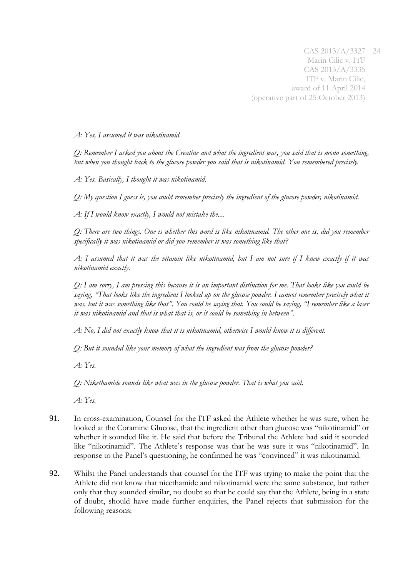*A: Yes, I assumed it was nikotinamid.*

*Q: Remember I asked you about the Creatine and what the ingredient was, you said that is mono something, but when you thought back to the glucose powder you said that is nikotinamid. You remembered precisely.*

*A: Yes. Basically, I thought it was nikotinamid.*

*Q: My question I guess is, you could remember precisely the ingredient of the glucose powder, nikotinamid.*

*A: If I would know exactly, I would not mistake the....*

*Q: There are two things. One is whether this word is like nikotinamid. The other one is, did you remember specifically it was nikotinamid or did you remember it was something like that?*

*A: I assumed that it was the vitamin like nikotinamid, but I am not sure if I knew exactly if it was nikotinamid exactly.*

*Q: I am sorry, I am pressing this because it is an important distinction for me. That looks like you could be saying, "That looks like the ingredient I looked up on the glucose powder. I cannot remember precisely what it was, but it was something like that". You could be saying that. You could be saying, "I remember like a laser it was nikotinamid and that is what that is, or it could be something in between".*

*A: No, I did not exactly know that it is nikotinamid, otherwise I would know it is different.*

*Q: But it sounded like your memory of what the ingredient was from the glucose powder?*

*A: Yes.*

*Q: Nikethamide sounds like what was in the glucose powder. That is what you said.*

*A: Yes.*

- 91. In cross-examination, Counsel for the ITF asked the Athlete whether he was sure, when he looked at the Coramine Glucose, that the ingredient other than glucose was "nikotinamid" or whether it sounded like it. He said that before the Tribunal the Athlete had said it sounded like "nikotinamid". The Athlete's response was that he was sure it was "nikotinamid". In response to the Panel's questioning, he confirmed he was "convinced" it was nikotinamid.
- 92. Whilst the Panel understands that counsel for the ITF was trying to make the point that the Athlete did not know that nicethamide and nikotinamid were the same substance, but rather only that they sounded similar, no doubt so that he could say that the Athlete, being in a state of doubt, should have made further enquiries, the Panel rejects that submission for the following reasons: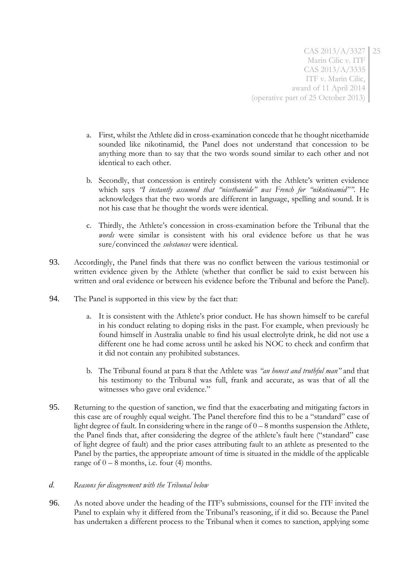- a. First, whilst the Athlete did in cross-examination concede that he thought nicethamide sounded like nikotinamid, the Panel does not understand that concession to be anything more than to say that the two words sound similar to each other and not identical to each other.
- b. Secondly, that concession is entirely consistent with the Athlete's written evidence which says *"I instantly assumed that "nicethamide" was French for "nikotinamid""*. He acknowledges that the two words are different in language, spelling and sound. It is not his case that he thought the words were identical.
- c. Thirdly, the Athlete's concession in cross-examination before the Tribunal that the *words* were similar is consistent with his oral evidence before us that he was sure/convinced the *substances* were identical.
- 93. Accordingly, the Panel finds that there was no conflict between the various testimonial or written evidence given by the Athlete (whether that conflict be said to exist between his written and oral evidence or between his evidence before the Tribunal and before the Panel).
- 94. The Panel is supported in this view by the fact that:
	- a. It is consistent with the Athlete's prior conduct. He has shown himself to be careful in his conduct relating to doping risks in the past. For example, when previously he found himself in Australia unable to find his usual electrolyte drink, he did not use a different one he had come across until he asked his NOC to check and confirm that it did not contain any prohibited substances.
	- b. The Tribunal found at para 8 that the Athlete was *"an honest and truthful man"* and that his testimony to the Tribunal was full, frank and accurate, as was that of all the witnesses who gave oral evidence."
- 95. Returning to the question of sanction, we find that the exacerbating and mitigating factors in this case are of roughly equal weight. The Panel therefore find this to be a "standard" case of light degree of fault. In considering where in the range of 0 – 8 months suspension the Athlete, the Panel finds that, after considering the degree of the athlete's fault here ("standard" case of light degree of fault) and the prior cases attributing fault to an athlete as presented to the Panel by the parties, the appropriate amount of time is situated in the middle of the applicable range of  $0 - 8$  months, i.e. four (4) months.
- *d. Reasons for disagreement with the Tribunal below*
- 96. As noted above under the heading of the ITF's submissions, counsel for the ITF invited the Panel to explain why it differed from the Tribunal's reasoning, if it did so. Because the Panel has undertaken a different process to the Tribunal when it comes to sanction, applying some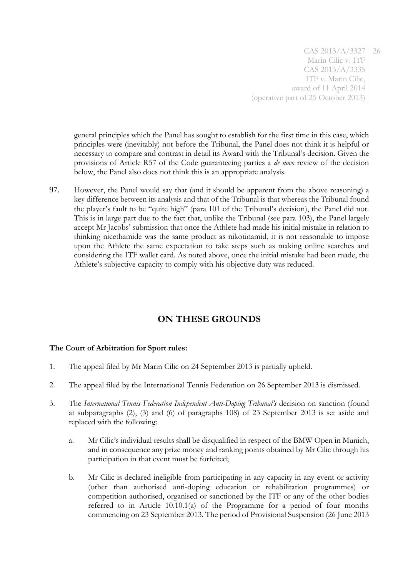general principles which the Panel has sought to establish for the first time in this case, which principles were (inevitably) not before the Tribunal, the Panel does not think it is helpful or necessary to compare and contrast in detail its Award with the Tribunal's decision. Given the provisions of Article R57 of the Code guaranteeing parties a *de novo* review of the decision below, the Panel also does not think this is an appropriate analysis.

97. However, the Panel would say that (and it should be apparent from the above reasoning) a key difference between its analysis and that of the Tribunal is that whereas the Tribunal found the player's fault to be "quite high" (para 101 of the Tribunal's decision), the Panel did not. This is in large part due to the fact that, unlike the Tribunal (see para 103), the Panel largely accept Mr Jacobs' submission that once the Athlete had made his initial mistake in relation to thinking nicethamide was the same product as nikotinamid, it is not reasonable to impose upon the Athlete the same expectation to take steps such as making online searches and considering the ITF wallet card. As noted above, once the initial mistake had been made, the Athlete's subjective capacity to comply with his objective duty was reduced.

# **ON THESE GROUNDS**

## **The Court of Arbitration for Sport rules:**

- 1. The appeal filed by Mr Marin Cilic on 24 September 2013 is partially upheld.
- 2. The appeal filed by the International Tennis Federation on 26 September 2013 is dismissed.
- 3. The *International Tennis Federation Independent Anti-Doping Tribunal's* decision on sanction (found at subparagraphs (2), (3) and (6) of paragraphs 108) of 23 September 2013 is set aside and replaced with the following:
	- a. Mr Cilic's individual results shall be disqualified in respect of the BMW Open in Munich, and in consequence any prize money and ranking points obtained by Mr Cilic through his participation in that event must be forfeited;
	- b. Mr Cilic is declared ineligible from participating in any capacity in any event or activity (other than authorised anti-doping education or rehabilitation programmes) or competition authorised, organised or sanctioned by the ITF or any of the other bodies referred to in Article 10.10.1(a) of the Programme for a period of four months commencing on 23 September 2013. The period of Provisional Suspension (26 June 2013